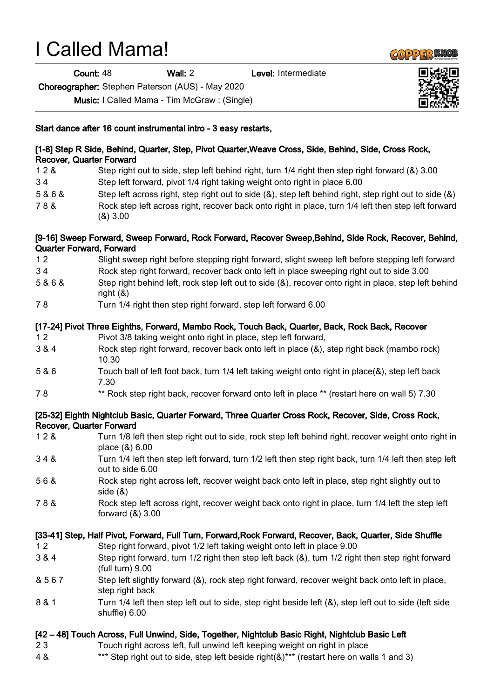## I Called Mama!

Count: 48 Wall: 2 Level: Intermediate

Choreographer: Stephen Paterson (AUS) - May 2020

Music: I Called Mama - Tim McGraw : (Single)

## Start dance after 16 count instrumental intro - 3 easy restarts,

| <b>Recover, Quarter Forward</b> | [1-8] Step R Side, Behind, Quarter, Step, Pivot Quarter, Weave Cross, Side, Behind, Side, Cross Rock,                                                                                 |
|---------------------------------|---------------------------------------------------------------------------------------------------------------------------------------------------------------------------------------|
| 128                             | Step right out to side, step left behind right, turn 1/4 right then step right forward (&) 3.00                                                                                       |
| 34                              | Step left forward, pivot 1/4 right taking weight onto right in place 6.00                                                                                                             |
| 5&6&                            | Step left across right, step right out to side $(8)$ , step left behind right, step right out to side $(8)$                                                                           |
| 78&                             | Rock step left across right, recover back onto right in place, turn 1/4 left then step left forward<br>(8)3.00                                                                        |
| <b>Quarter Forward, Forward</b> | [9-16] Sweep Forward, Sweep Forward, Rock Forward, Recover Sweep, Behind, Side Rock, Recover, Behind,                                                                                 |
| 12                              | Slight sweep right before stepping right forward, slight sweep left before stepping left forward                                                                                      |
| 34                              | Rock step right forward, recover back onto left in place sweeping right out to side 3.00                                                                                              |
| 5&6&                            | Step right behind left, rock step left out to side (&), recover onto right in place, step left behind<br>right $(8)$                                                                  |
| 78                              | Turn 1/4 right then step right forward, step left forward 6.00                                                                                                                        |
| 12                              | [17-24] Pivot Three Eighths, Forward, Mambo Rock, Touch Back, Quarter, Back, Rock Back, Recover<br>Pivot 3/8 taking weight onto right in place, step left forward,                    |
| 3 & 4                           | Rock step right forward, recover back onto left in place (&), step right back (mambo rock)<br>10.30                                                                                   |
| 5 & 6                           | Touch ball of left foot back, turn 1/4 left taking weight onto right in place(&), step left back<br>7.30                                                                              |
| 78                              | ** Rock step right back, recover forward onto left in place ** (restart here on wall 5) 7.30                                                                                          |
| <b>Recover, Quarter Forward</b> | [25-32] Eighth Nightclub Basic, Quarter Forward, Three Quarter Cross Rock, Recover, Side, Cross Rock,                                                                                 |
| 128                             | Turn 1/8 left then step right out to side, rock step left behind right, recover weight onto right in<br>place (&) 6.00                                                                |
| 348                             | Turn 1/4 left then step left forward, turn 1/2 left then step right back, turn 1/4 left then step left<br>out to side 6.00                                                            |
| 56&                             | Rock step right across left, recover weight back onto left in place, step right slightly out to<br>side $(8)$                                                                         |
| 78&                             | Rock step left across right, recover weight back onto right in place, turn 1/4 left the step left<br>forward $(8)$ 3.00                                                               |
| 12                              | [33-41] Step, Half Pivot, Forward, Full Turn, Forward, Rock Forward, Recover, Back, Quarter, Side Shuffle<br>Step right forward, pivot 1/2 left taking weight onto left in place 9.00 |
| 3 & 4                           | Step right forward, turn 1/2 right then step left back (&), turn 1/2 right then step right forward<br>(full turn) 9.00                                                                |
| & 567                           | Step left slightly forward (&), rock step right forward, recover weight back onto left in place,<br>step right back                                                                   |
| 8 & 1                           | Turn 1/4 left then step left out to side, step right beside left (&), step left out to side (left side<br>shuffle) 6.00                                                               |
|                                 | [42 – 48] Touch Across, Full Unwind, Side, Together, Nightclub Basic Right, Nightclub Basic Left                                                                                      |
| 23                              | Touch right across left, full unwind left keeping weight on right in place                                                                                                            |
| 4 &                             | *** Step right out to side, step left beside right(&)*** (restart here on walls 1 and 3)                                                                                              |